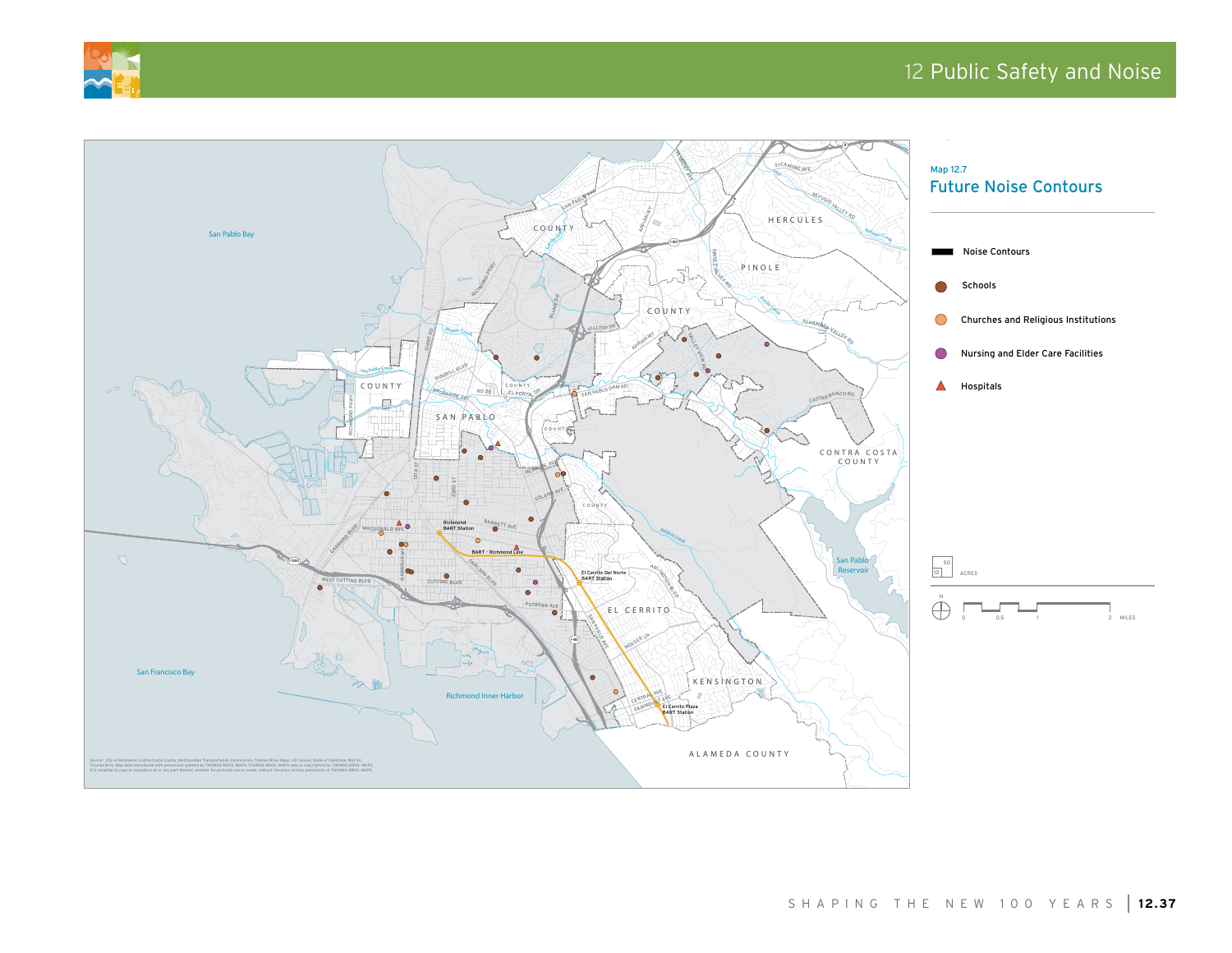